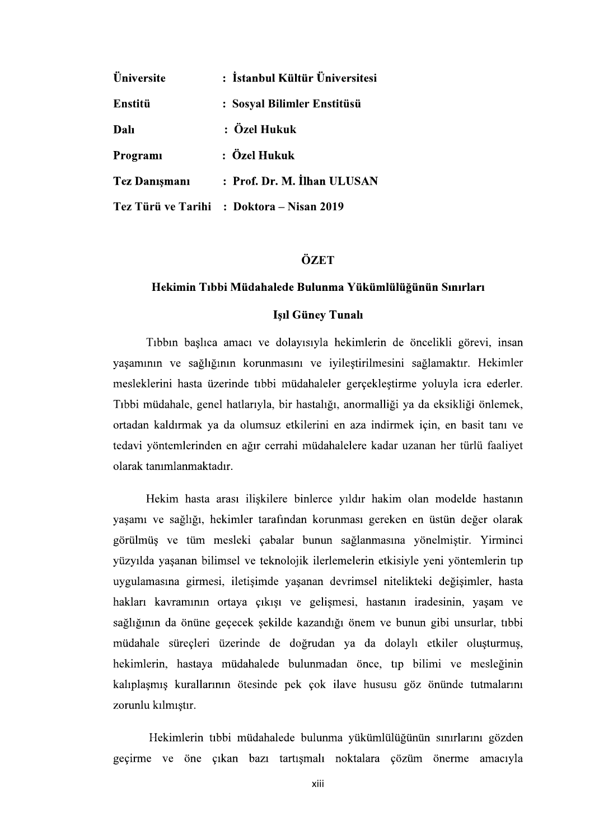| Üniversite           | : İstanbul Kültür Üniversitesi            |
|----------------------|-------------------------------------------|
| Enstitü              | : Sosyal Bilimler Enstitüsü               |
| Dalı                 | : Özel Hukuk                              |
| Programi             | : Özel Hukuk                              |
| <b>Tez Danismani</b> | : Prof. Dr. M. İlhan ULUSAN               |
|                      | Tez Türü ve Tarihi : Doktora – Nisan 2019 |

# **ÖZET**

### Hekimin Tıbbi Müdahalede Bulunma Yükümlülüğünün Sınırları

## **Isil Güney Tunali**

Tıbbın başlıca amacı ve dolayısıyla hekimlerin de öncelikli görevi, insan yaşamının ve sağlığının korunmasını ve iyileştirilmesini sağlamaktır. Hekimler mesleklerini hasta üzerinde tıbbi müdahaleler gerçekleştirme yoluyla icra ederler. Tıbbi müdahale, genel hatlarıyla, bir hastalığı, anormalliği ya da eksikliği önlemek, ortadan kaldırmak ya da olumsuz etkilerini en aza indirmek için, en basit tanı ve tedavi yöntemlerinden en ağır cerrahi müdahalelere kadar uzanan her türlü faaliyet olarak tanımlanmaktadır.

Hekim hasta arası ilişkilere binlerce yıldır hakim olan modelde hastanın yaşamı ve sağlığı, hekimler tarafından korunması gereken en üstün değer olarak görülmüş ve tüm mesleki çabalar bunun sağlanmasına yönelmiştir. Yirminci yüzyılda yaşanan bilimsel ve teknolojik ilerlemelerin etkisiyle yeni yöntemlerin tıp uygulamasına girmesi, iletişimde yaşanan devrimsel nitelikteki değişimler, hasta hakları kavramının ortaya çıkışı ve gelişmesi, hastanın iradesinin, yaşam ve sağlığının da önüne geçecek şekilde kazandığı önem ve bunun gibi unsurlar, tıbbi müdahale süreçleri üzerinde de doğrudan ya da dolaylı etkiler oluşturmuş, hekimlerin, hastaya müdahalede bulunmadan önce, tıp bilimi ve mesleğinin kalıplaşmış kurallarının ötesinde pek çok ilave hususu göz önünde tutmalarını zorunlu kılmıştır.

Hekimlerin tıbbi müdahalede bulunma yükümlülüğünün sınırlarını gözden geçirme ve öne çıkan bazı tartışmalı noktalara çözüm önerme amacıyla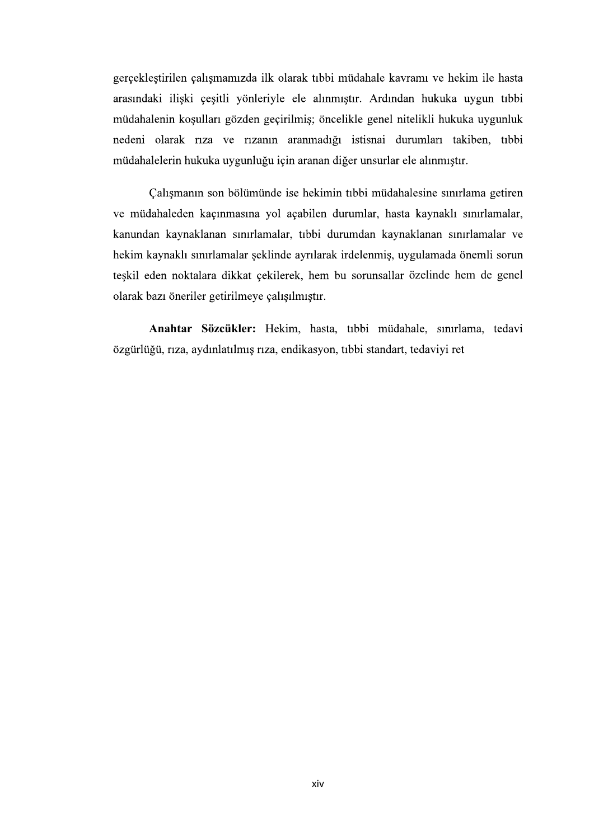gerçekleştirilen çalışmamızda ilk olarak tıbbi müdahale kavramı ve hekim ile hasta arasındaki ilişki çeşitli yönleriyle ele alınmıştır. Ardından hukuka uygun tıbbi müdahalenin koşulları gözden geçirilmiş; öncelikle genel nitelikli hukuka uygunluk nedeni olarak rıza ve rızanın aranmadığı istisnai durumları takiben, tıbbi müdahalelerin hukuka uygunluğu için aranan diğer unsurlar ele alınmıştır.

Çalışmanın son bölümünde ise hekimin tıbbi müdahalesine sınırlama getiren ve müdahaleden kaçınmasına yol açabilen durumlar, hasta kaynaklı sınırlamalar, kanundan kaynaklanan sınırlamalar, tıbbi durumdan kaynaklanan sınırlamalar ve hekim kaynaklı sınırlamalar şeklinde ayrılarak irdelenmiş, uygulamada önemli sorun teşkil eden noktalara dikkat çekilerek, hem bu sorunsallar özelinde hem de genel olarak bazı öneriler getirilmeye çalışılmıştır.

Anahtar Sözcükler: Hekim, hasta, tıbbi müdahale, sınırlama, tedavi özgürlüğü, rıza, aydınlatılmış rıza, endikasyon, tıbbi standart, tedaviyi ret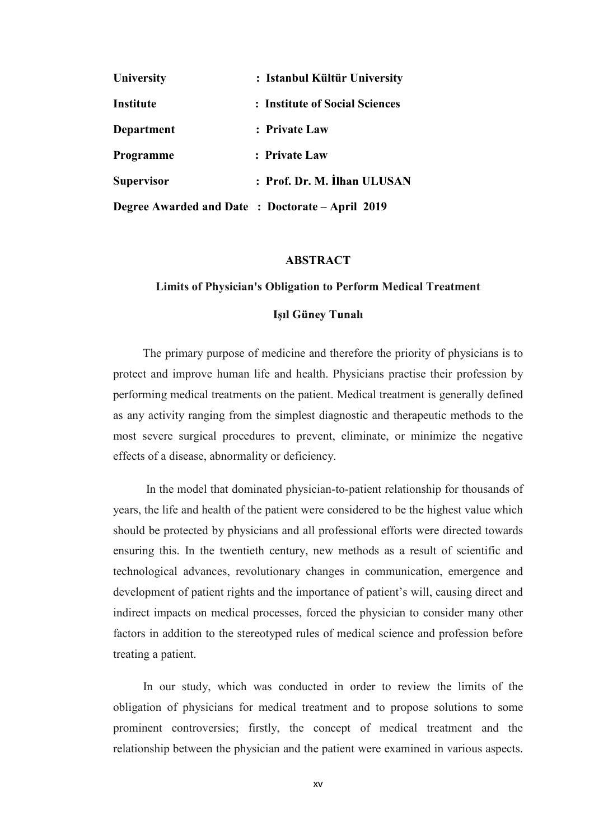| <b>University</b>                                | : Istanbul Kültür University   |
|--------------------------------------------------|--------------------------------|
| Institute                                        | : Institute of Social Sciences |
| Department                                       | : Private Law                  |
| <b>Programme</b>                                 | : Private Law                  |
| <b>Supervisor</b>                                | : Prof. Dr. M. İlhan ULUSAN    |
| Degree Awarded and Date : Doctorate – April 2019 |                                |

#### ABSTRACT

#### Limits of Physician's Obligation to Perform Medical Treatment

The primary purpose of medicine and therefore the priority of physicians is to **Department** : Private Law<br> **Programme** : Private Law<br> **Supervisor** : Prof. Dr. M. **Ilhan ULUSAN**<br> **Degree Awarded and Date : Doctorate – April 2019**<br> **ABSTRACT**<br>
Limits of Physician's Obligation to Perform Medical Treatme performing medical treatments on the patient. Medical treatment is generally defined as any activity ranging from the simplest diagnostic and therapeutic methods to the Supervisor : Prof. Dr. M. Ilhan ULUSAN<br>
Degree Awarded and Date : Doctorate – April 2019<br>
ABSTRACT<br>
Limits of Physician's Obligation to Perform Medical Treatment<br>
Igil Güney Tunalı<br>
The primary purpose of medicine and ther effects of a disease, abnormality or deficiency.

In the model that dominated physician-to-patient relationship for thousands of years, the life and health of the patient were considered to be the highest value which should be protected by physicians and all professional efforts were directed towards ensuring this. In the twentieth century, new methods as a result of scientific and technological advances, revolutionary changes in communication, emergence and development of patient rights and the importance of patient's will, causing direct and indirect impacts on medical processes, forced the physician to consider many other factors in addition to the stereotyped rules of medical science and profession before treating a patient.

In our study, which was conducted in order to review the limits of the obligation of physicians for medical treatment and to propose solutions to some prominent controversies; firstly, the concept of medical treatment and the relationship between the physician and the patient were examined in various aspects.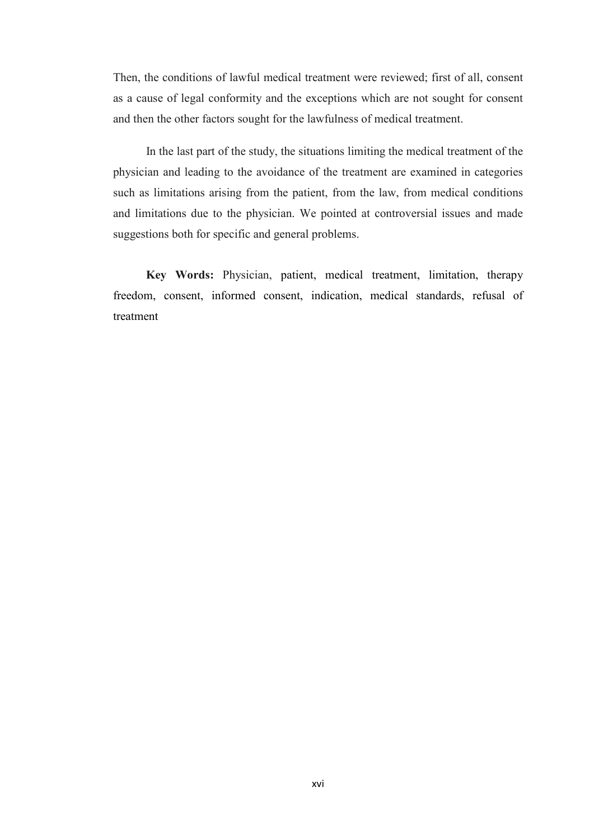Then, the conditions of lawful medical treatment were reviewed; first of all, consent as a cause of legal conformity and the exceptions which are not sought for consent and then the other factors sought for the lawfulness of medical treatment.

In the last part of the study, the situations limiting the medical treatment of the physician and leading to the avoidance of the treatment are examined in categories such as limitations arising from the patient, from the law, from medical conditions and limitations due to the physician. We pointed at controversial issues and made suggestions both for specific and general problems.

Key Words: Physician, patient, medical treatment, limitation, therapy freedom, consent, informed consent, indication, medical standards, refusal of treatment